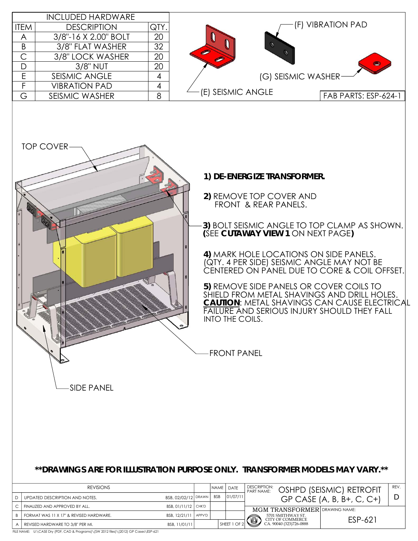

FILE NAME: U:\CASE Dry (PDF, CAD & Programs)\(SW 2012 files)\(2012) GP Cases\ESP-621